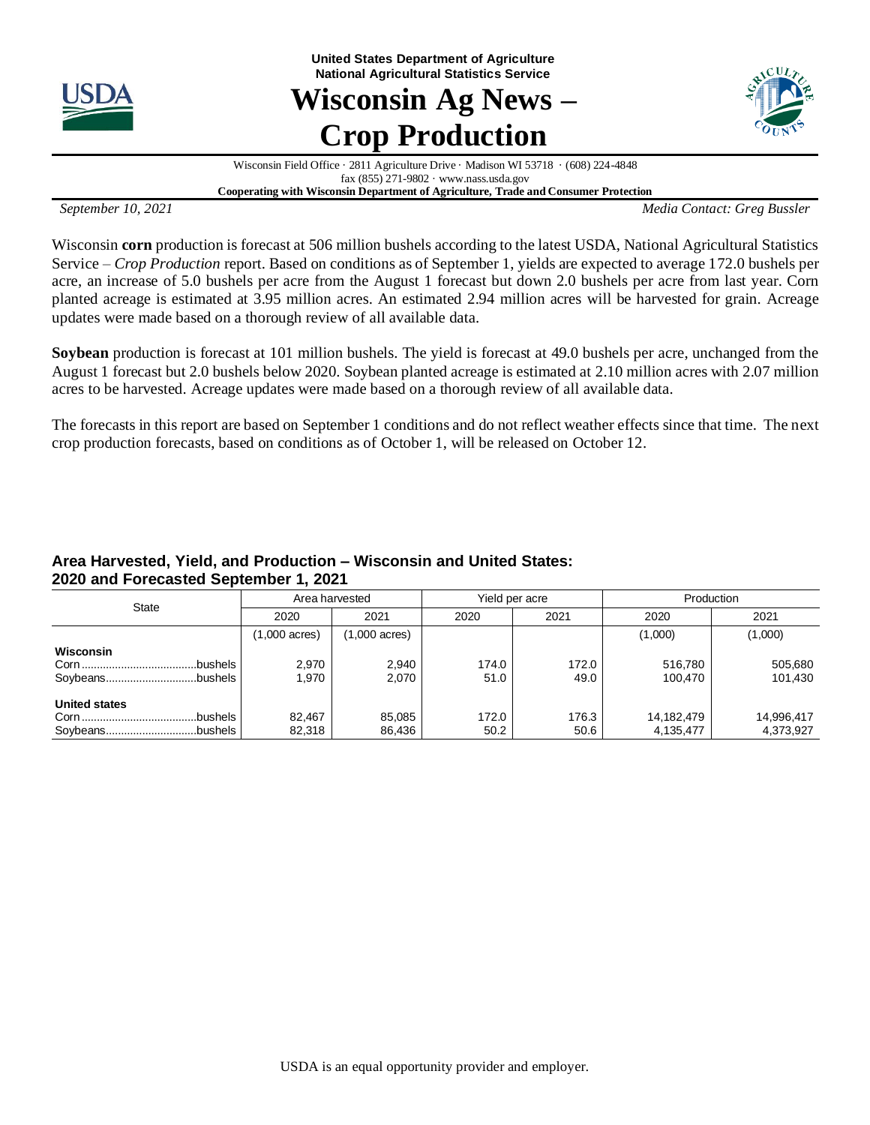

**United States Department of Agriculture National Agricultural Statistics Service**

# **Wisconsin Ag News – Crop Production**



Wisconsin Field Office · 2811 Agriculture Drive · Madison WI 53718 · (608) 224-4848 fax (855) 271-9802 · www.nass.usda.gov

**Cooperating with Wisconsin Department of Agriculture, Trade and Consumer Protection**

*September 10, 2021 Media Contact: Greg Bussler*

Wisconsin **corn** production is forecast at 506 million bushels according to the latest USDA, National Agricultural Statistics Service – *Crop Production* report. Based on conditions as of September 1, yields are expected to average 172.0 bushels per acre, an increase of 5.0 bushels per acre from the August 1 forecast but down 2.0 bushels per acre from last year. Corn planted acreage is estimated at 3.95 million acres. An estimated 2.94 million acres will be harvested for grain. Acreage updates were made based on a thorough review of all available data.

**Soybean** production is forecast at 101 million bushels. The yield is forecast at 49.0 bushels per acre, unchanged from the August 1 forecast but 2.0 bushels below 2020. Soybean planted acreage is estimated at 2.10 million acres with 2.07 million acres to be harvested. Acreage updates were made based on a thorough review of all available data.

The forecasts in this report are based on September 1 conditions and do not reflect weather effects since that time. The next crop production forecasts, based on conditions as of October 1, will be released on October 12.

#### **Area Harvested, Yield, and Production – Wisconsin and United States: 2020 and Forecasted September 1, 2021**

| <b>State</b>                    | Area harvested          |                         | Yield per acre |               | Production              |                         |
|---------------------------------|-------------------------|-------------------------|----------------|---------------|-------------------------|-------------------------|
|                                 | 2020                    | 2021                    | 2020           | 2021          | 2020                    | 2021                    |
|                                 | $(1,000 \text{ acres})$ | $(1,000 \text{ acres})$ |                |               | (1,000)                 | (1,000)                 |
| Wisconsin<br>.bushels           | 2.970<br>1.970          | 2,940<br>2,070          | 174.0<br>51.0  | 172.0<br>49.0 | 516.780<br>100.470      | 505,680<br>101,430      |
| <b>United states</b><br>bushels | 82.467<br>82,318        | 85,085<br>86,436        | 172.0<br>50.2  | 176.3<br>50.6 | 14,182,479<br>4,135,477 | 14,996,417<br>4,373,927 |